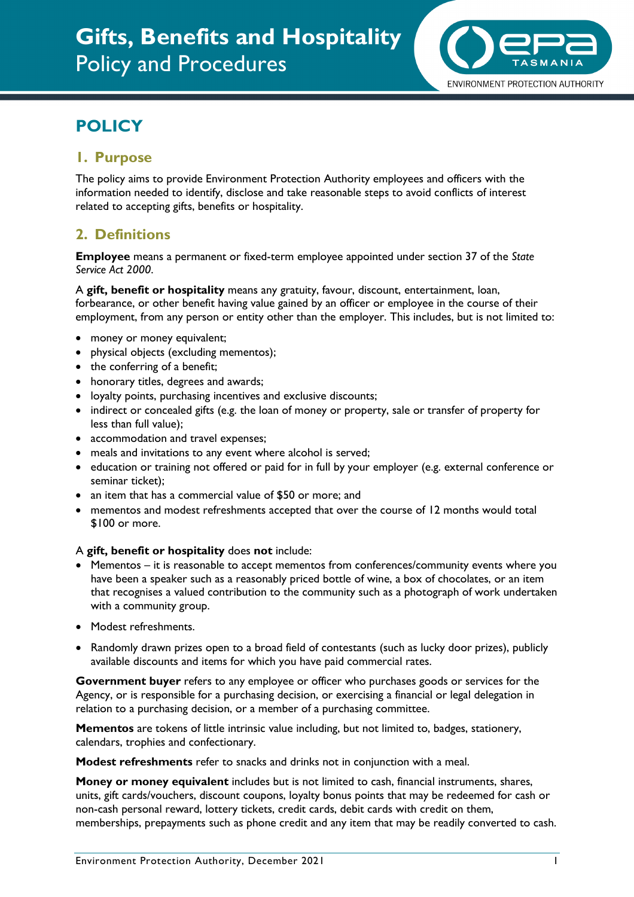

# **POLICY**

## **1. Purpose**

The policy aims to provide Environment Protection Authority employees and officers with the information needed to identify, disclose and take reasonable steps to avoid conflicts of interest related to accepting gifts, benefits or hospitality.

# **2. Definitions**

**Employee** means a permanent or fixed-term employee appointed under section 37 of the *State Service Act 2000*.

A **gift, benefit or hospitality** means any gratuity, favour, discount, entertainment, loan, forbearance, or other benefit having value gained by an officer or employee in the course of their employment, from any person or entity other than the employer. This includes, but is not limited to:

- money or money equivalent;
- physical objects (excluding mementos);
- the conferring of a benefit;
- honorary titles, degrees and awards;
- loyalty points, purchasing incentives and exclusive discounts;
- indirect or concealed gifts (e.g. the loan of money or property, sale or transfer of property for less than full value);
- accommodation and travel expenses;
- meals and invitations to any event where alcohol is served;
- education or training not offered or paid for in full by your employer (e.g. external conference or seminar ticket);
- an item that has a commercial value of \$50 or more; and
- mementos and modest refreshments accepted that over the course of 12 months would total \$100 or more.

#### A **gift, benefit or hospitality** does **not** include:

- Mementos it is reasonable to accept mementos from conferences/community events where you have been a speaker such as a reasonably priced bottle of wine, a box of chocolates, or an item that recognises a valued contribution to the community such as a photograph of work undertaken with a community group.
- Modest refreshments.
- Randomly drawn prizes open to a broad field of contestants (such as lucky door prizes), publicly available discounts and items for which you have paid commercial rates.

**Government buyer** refers to any employee or officer who purchases goods or services for the Agency, or is responsible for a purchasing decision, or exercising a financial or legal delegation in relation to a purchasing decision, or a member of a purchasing committee.

**Mementos** are tokens of little intrinsic value including, but not limited to, badges, stationery, calendars, trophies and confectionary.

**Modest refreshments** refer to snacks and drinks not in conjunction with a meal.

**Money or money equivalent** includes but is not limited to cash, financial instruments, shares, units, gift cards/vouchers, discount coupons, loyalty bonus points that may be redeemed for cash or non-cash personal reward, lottery tickets, credit cards, debit cards with credit on them, memberships, prepayments such as phone credit and any item that may be readily converted to cash.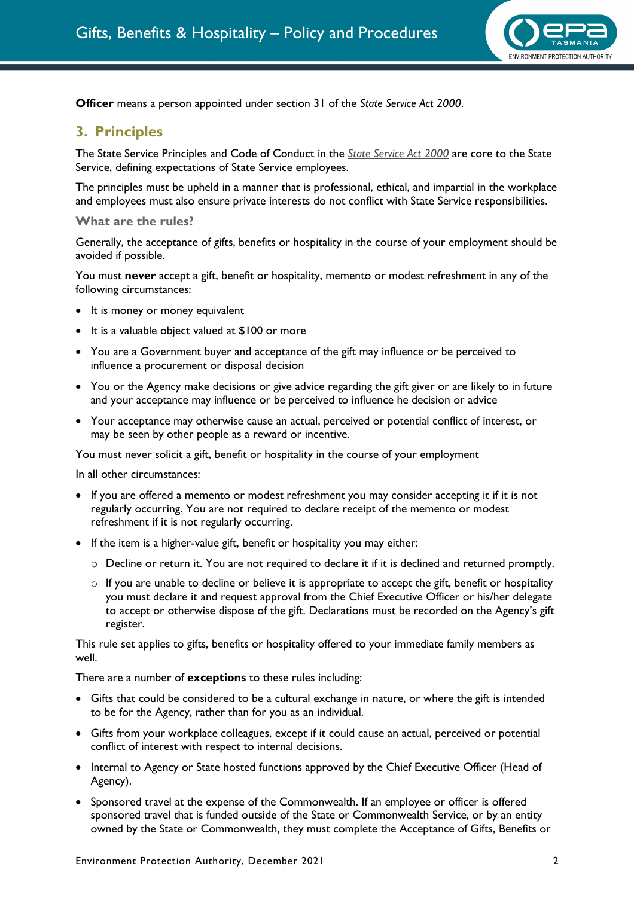

**Officer** means a person appointed under section 31 of the *State Service Act 2000*.

#### **3. Principles**

The State Service Principles and Code of Conduct in the *[State Service Act 2000](https://www.legislation.tas.gov.au/view/html/inforce/current/act-2000-085)* are core to the State Service, defining expectations of State Service employees.

The principles must be upheld in a manner that is professional, ethical, and impartial in the workplace and employees must also ensure private interests do not conflict with State Service responsibilities.

#### **What are the rules?**

Generally, the acceptance of gifts, benefits or hospitality in the course of your employment should be avoided if possible.

You must **never** accept a gift, benefit or hospitality, memento or modest refreshment in any of the following circumstances:

- It is money or money equivalent
- It is a valuable object valued at \$100 or more
- You are a Government buyer and acceptance of the gift may influence or be perceived to influence a procurement or disposal decision
- You or the Agency make decisions or give advice regarding the gift giver or are likely to in future and your acceptance may influence or be perceived to influence he decision or advice
- Your acceptance may otherwise cause an actual, perceived or potential conflict of interest, or may be seen by other people as a reward or incentive.

You must never solicit a gift, benefit or hospitality in the course of your employment

In all other circumstances:

- If you are offered a memento or modest refreshment you may consider accepting it if it is not regularly occurring. You are not required to declare receipt of the memento or modest refreshment if it is not regularly occurring.
- If the item is a higher-value gift, benefit or hospitality you may either:
	- $\circ$  Decline or return it. You are not required to declare it if it is declined and returned promptly.
	- $\circ$  If you are unable to decline or believe it is appropriate to accept the gift, benefit or hospitality you must declare it and request approval from the Chief Executive Officer or his/her delegate to accept or otherwise dispose of the gift. Declarations must be recorded on the Agency's gift register.

This rule set applies to gifts, benefits or hospitality offered to your immediate family members as well.

There are a number of **exceptions** to these rules including:

- Gifts that could be considered to be a cultural exchange in nature, or where the gift is intended to be for the Agency, rather than for you as an individual.
- Gifts from your workplace colleagues, except if it could cause an actual, perceived or potential conflict of interest with respect to internal decisions.
- Internal to Agency or State hosted functions approved by the Chief Executive Officer (Head of Agency).
- Sponsored travel at the expense of the Commonwealth. If an employee or officer is offered sponsored travel that is funded outside of the State or Commonwealth Service, or by an entity owned by the State or Commonwealth, they must complete the Acceptance of Gifts, Benefits or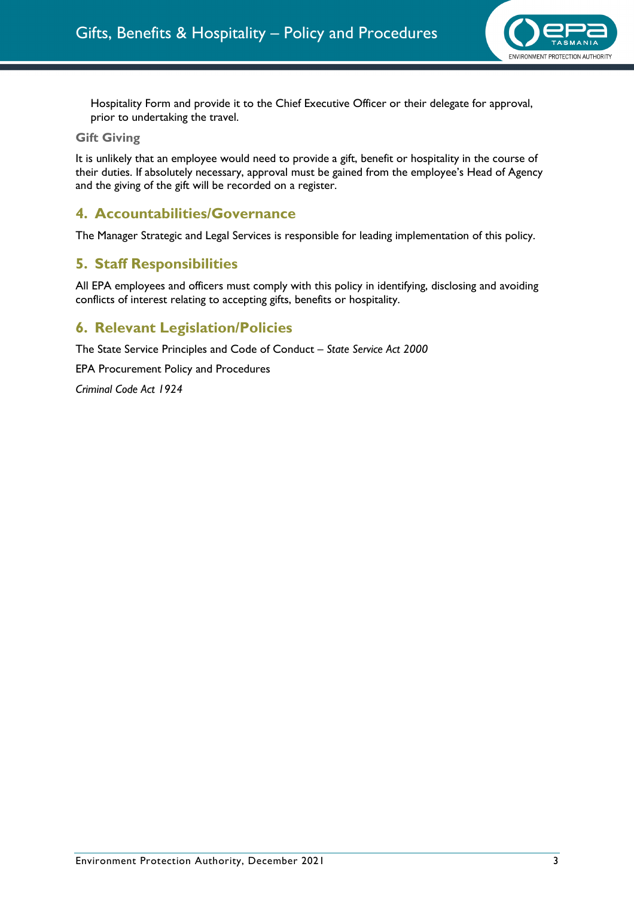

Hospitality Form and provide it to the Chief Executive Officer or their delegate for approval, prior to undertaking the travel.

#### **Gift Giving**

It is unlikely that an employee would need to provide a gift, benefit or hospitality in the course of their duties. If absolutely necessary, approval must be gained from the employee's Head of Agency and the giving of the gift will be recorded on a register.

## **4. Accountabilities/Governance**

The Manager Strategic and Legal Services is responsible for leading implementation of this policy.

## **5. Staff Responsibilities**

All EPA employees and officers must comply with this policy in identifying, disclosing and avoiding conflicts of interest relating to accepting gifts, benefits or hospitality.

## **6. Relevant Legislation/Policies**

The State Service Principles and Code of Conduct – *State Service Act 2000* 

EPA Procurement Policy and Procedures

*Criminal Code Act 1924*